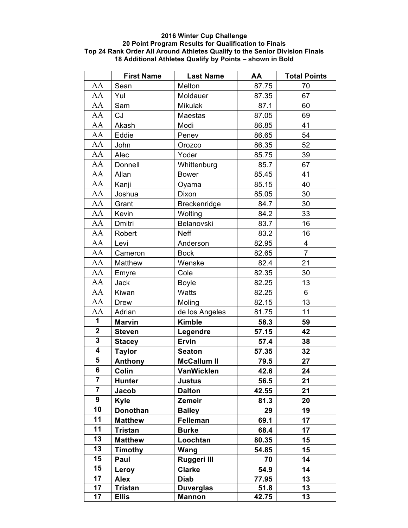## **2016 Winter Cup Challenge 20 Point Program Results for Qualification to Finals Top 24 Rank Order All Around Athletes Qualify to the Senior Division Finals 18 Additional Athletes Qualify by Points – shown in Bold**

|                         | <b>First Name</b> | <b>Last Name</b>   | AA    | <b>Total Points</b> |
|-------------------------|-------------------|--------------------|-------|---------------------|
| AA                      | Sean              | Melton             | 87.75 | 70                  |
| AA                      | Yul               | Moldauer           | 87.35 | 67                  |
| AA                      | Sam               | Mikulak            | 87.1  | 60                  |
| AA                      | CJ                | Maestas            | 87.05 | 69                  |
| AA                      | Akash             | Modi               | 86.85 | 41                  |
| AA                      | Eddie             | Penev              | 86.65 | 54                  |
| AA                      | John              | Orozco             | 86.35 | 52                  |
| AA                      | Alec              | Yoder              | 85.75 | 39                  |
| AA                      | Donnell           | Whittenburg        | 85.7  | 67                  |
| AA                      | Allan             | <b>Bower</b>       | 85.45 | 41                  |
| AA                      | Kanji             | Oyama              | 85.15 | 40                  |
| AA                      | Joshua            | Dixon              | 85.05 | 30                  |
| AA                      | Grant             | Breckenridge       | 84.7  | 30                  |
| AA                      | Kevin             | Wolting            | 84.2  | 33                  |
| AA                      | Dmitri            | Belanovski         | 83.7  | 16                  |
| AA                      | Robert            | <b>Neff</b>        | 83.2  | 16                  |
| AA                      | Levi              | Anderson           | 82.95 | 4                   |
| AA                      | Cameron           | <b>Bock</b>        | 82.65 | $\overline{7}$      |
| AA                      | Matthew           | Wenske             | 82.4  | 21                  |
| AA                      | Emyre             | Cole               | 82.35 | 30                  |
| AA                      | Jack              | <b>Boyle</b>       | 82.25 | 13                  |
| AA                      | Kiwan             | Watts              | 82.25 | 6                   |
| AA                      | <b>Drew</b>       | Moling             | 82.15 | 13                  |
| AA                      | Adrian            | de los Angeles     | 81.75 | 11                  |
| 1                       | <b>Marvin</b>     | <b>Kimble</b>      | 58.3  | 59                  |
| $\overline{2}$          | <b>Steven</b>     | Legendre           | 57.15 | 42                  |
| $\overline{\mathbf{3}}$ | <b>Stacey</b>     | <b>Ervin</b>       | 57.4  | 38                  |
| $\overline{\mathbf{4}}$ | <b>Taylor</b>     | <b>Seaton</b>      | 57.35 | 32                  |
| 5                       | <b>Anthony</b>    | <b>McCallum II</b> | 79.5  | 27                  |
| $\overline{\mathbf{6}}$ | Colin             | <b>VanWicklen</b>  | 42.6  | 24                  |
| $\overline{7}$          | <b>Hunter</b>     | Justus             | 56.5  | 21                  |
| $\overline{7}$          | Jacob             | <b>Dalton</b>      | 42.55 | 21                  |
| 9                       | Kyle              | Zemeir             | 81.3  | 20                  |
| 10                      | Donothan          | <b>Bailey</b>      | 29    | 19                  |
| 11                      | <b>Matthew</b>    | Felleman           | 69.1  | 17                  |
| 11                      | Tristan           | <b>Burke</b>       | 68.4  | 17                  |
| 13                      | <b>Matthew</b>    | Loochtan           | 80.35 | 15                  |
| 13                      | Timothy           | Wang               | 54.85 | 15                  |
| 15                      | Paul              | Ruggeri III        | 70    | 14                  |
| 15                      | Leroy             | <b>Clarke</b>      | 54.9  | 14                  |
| 17                      | <b>Alex</b>       | Diab               | 77.95 | 13                  |
| 17                      | Tristan           | <b>Duverglas</b>   | 51.8  | 13                  |
| 17                      | <b>Ellis</b>      | <b>Mannon</b>      | 42.75 | 13                  |